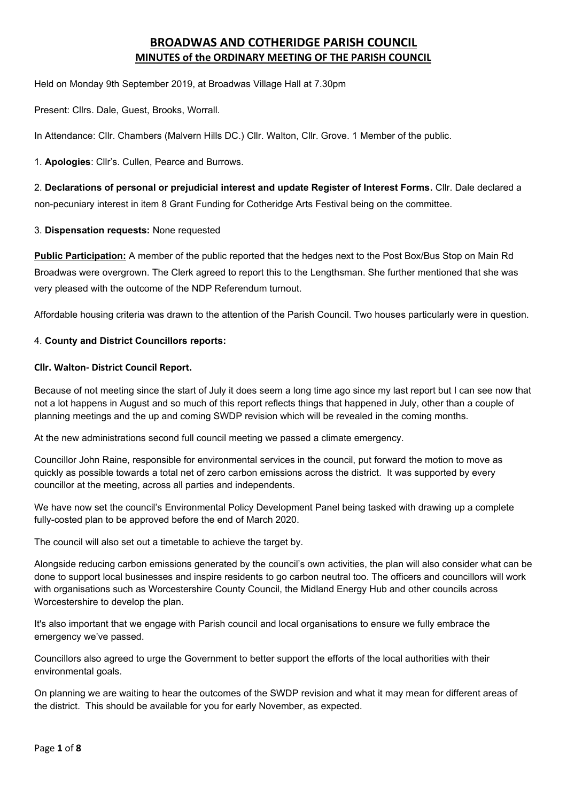# **BROADWAS AND COTHERIDGE PARISH COUNCIL MINUTES of the ORDINARY MEETING OF THE PARISH COUNCIL**

Held on Monday 9th September 2019, at Broadwas Village Hall at 7.30pm

Present: Cllrs. Dale, Guest, Brooks, Worrall.

In Attendance: Cllr. Chambers (Malvern Hills DC.) Cllr. Walton, Cllr. Grove. 1 Member of the public.

1. **Apologies**: Cllr's. Cullen, Pearce and Burrows.

2. **Declarations of personal or prejudicial interest and update Register of Interest Forms.** Cllr. Dale declared a non-pecuniary interest in item 8 Grant Funding for Cotheridge Arts Festival being on the committee.

### 3. **Dispensation requests:** None requested

**Public Participation:** A member of the public reported that the hedges next to the Post Box/Bus Stop on Main Rd Broadwas were overgrown. The Clerk agreed to report this to the Lengthsman. She further mentioned that she was very pleased with the outcome of the NDP Referendum turnout.

Affordable housing criteria was drawn to the attention of the Parish Council. Two houses particularly were in question.

### 4. **County and District Councillors reports:**

### **Cllr. Walton- District Council Report.**

Because of not meeting since the start of July it does seem a long time ago since my last report but I can see now that not a lot happens in August and so much of this report reflects things that happened in July, other than a couple of planning meetings and the up and coming SWDP revision which will be revealed in the coming months.

At the new administrations second full council meeting we passed a climate emergency.

Councillor John Raine, responsible for environmental services in the council, put forward the motion to move as quickly as possible towards a total net of zero carbon emissions across the district. It was supported by every councillor at the meeting, across all parties and independents.

We have now set the council's Environmental Policy Development Panel being tasked with drawing up a complete fully-costed plan to be approved before the end of March 2020.

The council will also set out a timetable to achieve the target by.

Alongside reducing carbon emissions generated by the council's own activities, the plan will also consider what can be done to support local businesses and inspire residents to go carbon neutral too. The officers and councillors will work with organisations such as Worcestershire County Council, the Midland Energy Hub and other councils across Worcestershire to develop the plan.

It's also important that we engage with Parish council and local organisations to ensure we fully embrace the emergency we've passed.

Councillors also agreed to urge the Government to better support the efforts of the local authorities with their environmental goals.

On planning we are waiting to hear the outcomes of the SWDP revision and what it may mean for different areas of the district. This should be available for you for early November, as expected.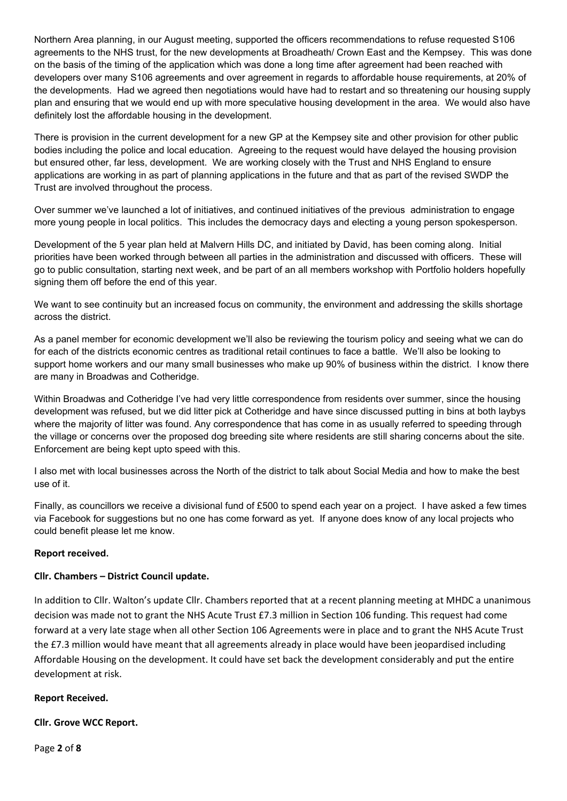Northern Area planning, in our August meeting, supported the officers recommendations to refuse requested S106 agreements to the NHS trust, for the new developments at Broadheath/ Crown East and the Kempsey. This was done on the basis of the timing of the application which was done a long time after agreement had been reached with developers over many S106 agreements and over agreement in regards to affordable house requirements, at 20% of the developments. Had we agreed then negotiations would have had to restart and so threatening our housing supply plan and ensuring that we would end up with more speculative housing development in the area. We would also have definitely lost the affordable housing in the development.

There is provision in the current development for a new GP at the Kempsey site and other provision for other public bodies including the police and local education. Agreeing to the request would have delayed the housing provision but ensured other, far less, development. We are working closely with the Trust and NHS England to ensure applications are working in as part of planning applications in the future and that as part of the revised SWDP the Trust are involved throughout the process.

Over summer we've launched a lot of initiatives, and continued initiatives of the previous administration to engage more young people in local politics. This includes the democracy days and electing a young person spokesperson.

Development of the 5 year plan held at Malvern Hills DC, and initiated by David, has been coming along. Initial priorities have been worked through between all parties in the administration and discussed with officers. These will go to public consultation, starting next week, and be part of an all members workshop with Portfolio holders hopefully signing them off before the end of this year.

We want to see continuity but an increased focus on community, the environment and addressing the skills shortage across the district.

As a panel member for economic development we'll also be reviewing the tourism policy and seeing what we can do for each of the districts economic centres as traditional retail continues to face a battle. We'll also be looking to support home workers and our many small businesses who make up 90% of business within the district. I know there are many in Broadwas and Cotheridge.

Within Broadwas and Cotheridge I've had very little correspondence from residents over summer, since the housing development was refused, but we did litter pick at Cotheridge and have since discussed putting in bins at both laybys where the majority of litter was found. Any correspondence that has come in as usually referred to speeding through the village or concerns over the proposed dog breeding site where residents are still sharing concerns about the site. Enforcement are being kept upto speed with this.

I also met with local businesses across the North of the district to talk about Social Media and how to make the best use of it.

Finally, as councillors we receive a divisional fund of £500 to spend each year on a project. I have asked a few times via Facebook for suggestions but no one has come forward as yet. If anyone does know of any local projects who could benefit please let me know.

### **Report received.**

### **Cllr. Chambers – District Council update.**

In addition to Cllr. Walton's update Cllr. Chambers reported that at a recent planning meeting at MHDC a unanimous decision was made not to grant the NHS Acute Trust £7.3 million in Section 106 funding. This request had come forward at a very late stage when all other Section 106 Agreements were in place and to grant the NHS Acute Trust the £7.3 million would have meant that all agreements already in place would have been jeopardised including Affordable Housing on the development. It could have set back the development considerably and put the entire development at risk.

### **Report Received.**

**Cllr. Grove WCC Report.**

Page **2** of **8**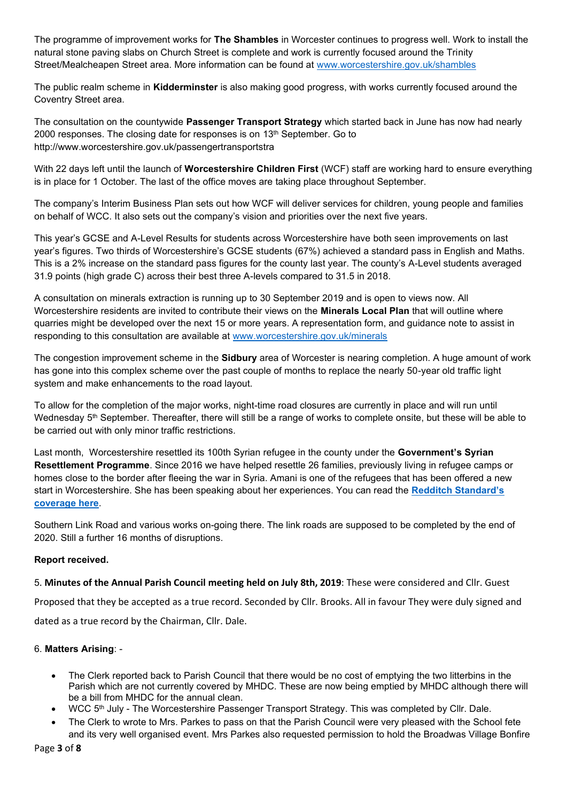The programme of improvement works for **The Shambles** in Worcester continues to progress well. Work to install the natural stone paving slabs on Church Street is complete and work is currently focused around the Trinity Street/Mealcheapen Street area. More information can be found at [www.worcestershire.gov.uk/shambles](http://www.worcestershire.gov.uk/shambles)

The public realm scheme in **Kidderminster** is also making good progress, with works currently focused around the Coventry Street area.

The consultation on the countywide **Passenger Transport Strategy** which started back in June has now had nearly 2000 responses. The closing date for responses is on 13<sup>th</sup> September. Go to http://www.worcestershire.gov.uk/passengertransportstra

With 22 days left until the launch of **Worcestershire Children First** (WCF) staff are working hard to ensure everything is in place for 1 October. The last of the office moves are taking place throughout September.

The company's Interim Business Plan sets out how WCF will deliver services for children, young people and families on behalf of WCC. It also sets out the company's vision and priorities over the next five years.

This year's GCSE and A-Level Results for students across Worcestershire have both seen improvements on last year's figures. Two thirds of Worcestershire's GCSE students (67%) achieved a standard pass in English and Maths. This is a 2% increase on the standard pass figures for the county last year. The county's A-Level students averaged 31.9 points (high grade C) across their best three A-levels compared to 31.5 in 2018.

A consultation on minerals extraction is running up to 30 September 2019 and is open to views now. All Worcestershire residents are invited to contribute their views on the **Minerals Local Plan** that will outline where quarries might be developed over the next 15 or more years. A representation form, and guidance note to assist in responding to this consultation are available at [www.worcestershire.gov.uk/minerals](http://www.worcestershire.gov.uk/minerals)

The congestion improvement scheme in the **Sidbury** area of Worcester is nearing completion. A huge amount of work has gone into this complex scheme over the past couple of months to replace the nearly 50-year old traffic light system and make enhancements to the road layout.

To allow for the completion of the major works, night-time road closures are currently in place and will run until Wednesday 5<sup>th</sup> September. Thereafter, there will still be a range of works to complete onsite, but these will be able to be carried out with only minor traffic restrictions.

Last month, Worcestershire resettled its 100th Syrian refugee in the county under the **Government's Syrian Resettlement Programme**. Since 2016 we have helped resettle 26 families, previously living in refugee camps or homes close to the border after fleeing the war in Syria. Amani is one of the refugees that has been offered a new start in Worcestershire. She has been speaking about her experiences. You can read the **[Redditch Standard's](https://redditchstandard.co.uk/news/finding-hope-and-peace-in-redditch-syrian-refugees-say-thank-you/)  [coverage here](https://redditchstandard.co.uk/news/finding-hope-and-peace-in-redditch-syrian-refugees-say-thank-you/)**.

Southern Link Road and various works on-going there. The link roads are supposed to be completed by the end of 2020. Still a further 16 months of disruptions.

### **Report received.**

### 5. **Minutes of the Annual Parish Council meeting held on July 8th, 2019**: These were considered and Cllr. Guest

Proposed that they be accepted as a true record. Seconded by Cllr. Brooks. All in favour They were duly signed and dated as a true record by the Chairman, Cllr. Dale.

### 6. **Matters Arising**: -

- The Clerk reported back to Parish Council that there would be no cost of emptying the two litterbins in the Parish which are not currently covered by MHDC. These are now being emptied by MHDC although there will be a bill from MHDC for the annual clean.
- WCC 5th July The Worcestershire Passenger Transport Strategy. This was completed by Cllr. Dale.
- The Clerk to wrote to Mrs. Parkes to pass on that the Parish Council were very pleased with the School fete and its very well organised event. Mrs Parkes also requested permission to hold the Broadwas Village Bonfire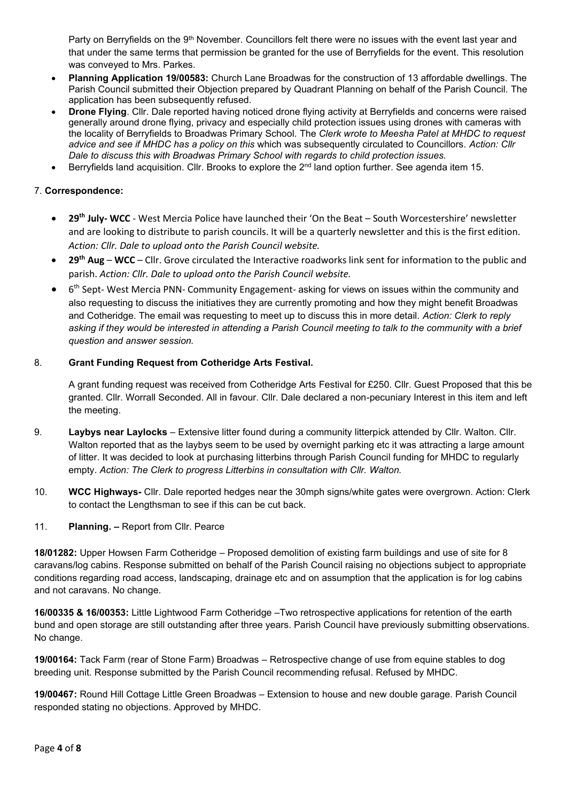Party on Berryfields on the 9<sup>th</sup> November. Councillors felt there were no issues with the event last year and that under the same terms that permission be granted for the use of Berryfields for the event. This resolution was conveyed to Mrs. Parkes.

- **Planning Application 19/00583:** Church Lane Broadwas for the construction of 13 affordable dwellings. The Parish Council submitted their Objection prepared by Quadrant Planning on behalf of the Parish Council. The application has been subsequently refused.
- **Drone Flying**. Cllr. Dale reported having noticed drone flying activity at Berryfields and concerns were raised generally around drone flying, privacy and especially child protection issues using drones with cameras with the locality of Berryfields to Broadwas Primary School. The *Clerk wrote to Meesha Patel at MHDC to request advice and see if MHDC has a policy on this* which was subsequently circulated to Councillors. *Action: Cllr Dale to discuss this with Broadwas Primary School with regards to child protection issues.*
- Berryfields land acquisition. Cllr. Brooks to explore the 2<sup>nd</sup> land option further. See agenda item 15.

# 7. **Correspondence:**

- **29th July- WCC** West Mercia Police have launched their 'On the Beat South Worcestershire' newsletter and are looking to distribute to parish councils. It will be a quarterly newsletter and this is the first edition. *Action: Cllr. Dale to upload onto the Parish Council website.*
- **29th Aug WCC** Cllr. Grove circulated the Interactive roadworks link sent for information to the public and parish. *Action: Cllr. Dale to upload onto the Parish Council website.*
- 6<sup>th</sup> Sept- West Mercia PNN- Community Engagement- asking for views on issues within the community and also requesting to discuss the initiatives they are currently promoting and how they might benefit Broadwas and Cotheridge. The email was requesting to meet up to discuss this in more detail. *Action: Clerk to reply asking if they would be interested in attending a Parish Council meeting to talk to the community with a brief question and answer session.*

### 8. **Grant Funding Request from Cotheridge Arts Festival.**

A grant funding request was received from Cotheridge Arts Festival for £250. Cllr. Guest Proposed that this be granted. Cllr. Worrall Seconded. All in favour. Cllr. Dale declared a non-pecuniary Interest in this item and left the meeting.

- 9. **Laybys near Laylocks** Extensive litter found during a community litterpick attended by Cllr. Walton. Cllr. Walton reported that as the laybys seem to be used by overnight parking etc it was attracting a large amount of litter. It was decided to look at purchasing litterbins through Parish Council funding for MHDC to regularly empty. *Action: The Clerk to progress Litterbins in consultation with Cllr. Walton.*
- 10. **WCC Highways-** Cllr. Dale reported hedges near the 30mph signs/white gates were overgrown. Action: Clerk to contact the Lengthsman to see if this can be cut back.
- 11. **Planning. –** Report from Cllr. Pearce

**18/01282:** Upper Howsen Farm Cotheridge – Proposed demolition of existing farm buildings and use of site for 8 caravans/log cabins. Response submitted on behalf of the Parish Council raising no objections subject to appropriate conditions regarding road access, landscaping, drainage etc and on assumption that the application is for log cabins and not caravans. No change.

**16/00335 & 16/00353:** Little Lightwood Farm Cotheridge –Two retrospective applications for retention of the earth bund and open storage are still outstanding after three years. Parish Council have previously submitting observations. No change.

**19/00164:** Tack Farm (rear of Stone Farm) Broadwas – Retrospective change of use from equine stables to dog breeding unit. Response submitted by the Parish Council recommending refusal. Refused by MHDC.

**19/00467:** Round Hill Cottage Little Green Broadwas – Extension to house and new double garage. Parish Council responded stating no objections. Approved by MHDC.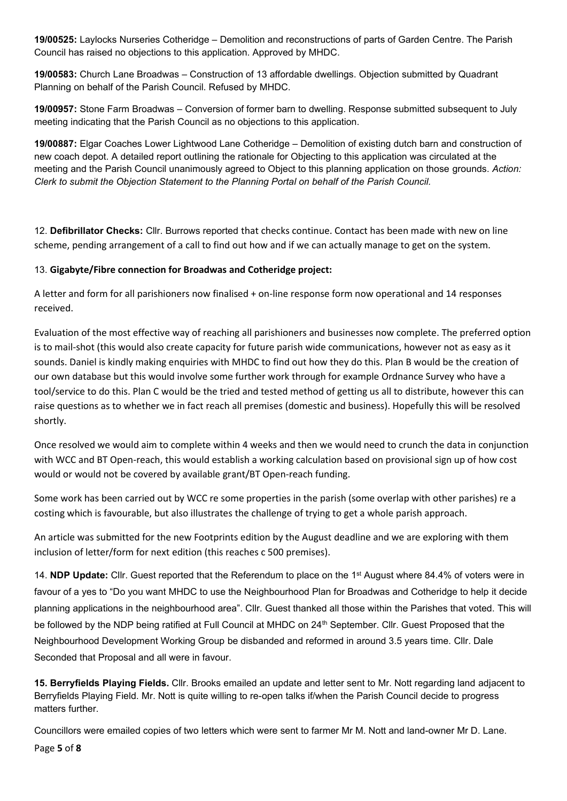**19/00525:** Laylocks Nurseries Cotheridge – Demolition and reconstructions of parts of Garden Centre. The Parish Council has raised no objections to this application. Approved by MHDC.

**19/00583:** Church Lane Broadwas – Construction of 13 affordable dwellings. Objection submitted by Quadrant Planning on behalf of the Parish Council. Refused by MHDC.

**19/00957:** Stone Farm Broadwas – Conversion of former barn to dwelling. Response submitted subsequent to July meeting indicating that the Parish Council as no objections to this application.

**19/00887:** Elgar Coaches Lower Lightwood Lane Cotheridge – Demolition of existing dutch barn and construction of new coach depot. A detailed report outlining the rationale for Objecting to this application was circulated at the meeting and the Parish Council unanimously agreed to Object to this planning application on those grounds. *Action: Clerk to submit the Objection Statement to the Planning Portal on behalf of the Parish Council.*

12. **Defibrillator Checks:** Cllr. Burrows reported that checks continue. Contact has been made with new on line scheme, pending arrangement of a call to find out how and if we can actually manage to get on the system.

# 13. **Gigabyte/Fibre connection for Broadwas and Cotheridge project:**

A letter and form for all parishioners now finalised + on-line response form now operational and 14 responses received.

Evaluation of the most effective way of reaching all parishioners and businesses now complete. The preferred option is to mail-shot (this would also create capacity for future parish wide communications, however not as easy as it sounds. Daniel is kindly making enquiries with MHDC to find out how they do this. Plan B would be the creation of our own database but this would involve some further work through for example Ordnance Survey who have a tool/service to do this. Plan C would be the tried and tested method of getting us all to distribute, however this can raise questions as to whether we in fact reach all premises (domestic and business). Hopefully this will be resolved shortly.

Once resolved we would aim to complete within 4 weeks and then we would need to crunch the data in conjunction with WCC and BT Open-reach, this would establish a working calculation based on provisional sign up of how cost would or would not be covered by available grant/BT Open-reach funding.

Some work has been carried out by WCC re some properties in the parish (some overlap with other parishes) re a costing which is favourable, but also illustrates the challenge of trying to get a whole parish approach.

An article was submitted for the new Footprints edition by the August deadline and we are exploring with them inclusion of letter/form for next edition (this reaches c 500 premises).

14. **NDP Update:** Cllr. Guest reported that the Referendum to place on the 1st August where 84.4% of voters were in favour of a yes to "Do you want MHDC to use the Neighbourhood Plan for Broadwas and Cotheridge to help it decide planning applications in the neighbourhood area". Cllr. Guest thanked all those within the Parishes that voted. This will be followed by the NDP being ratified at Full Council at MHDC on 24<sup>th</sup> September. Cllr. Guest Proposed that the Neighbourhood Development Working Group be disbanded and reformed in around 3.5 years time. Cllr. Dale Seconded that Proposal and all were in favour.

**15. Berryfields Playing Fields.** Cllr. Brooks emailed an update and letter sent to Mr. Nott regarding land adjacent to Berryfields Playing Field. Mr. Nott is quite willing to re-open talks if/when the Parish Council decide to progress matters further.

Councillors were emailed copies of two letters which were sent to farmer Mr M. Nott and land-owner Mr D. Lane.

Page **5** of **8**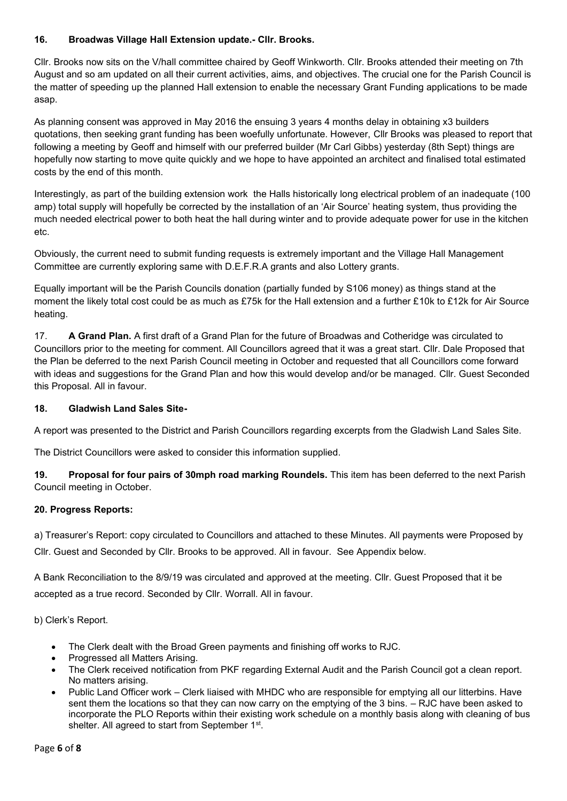### **16. Broadwas Village Hall Extension update.- Cllr. Brooks.**

Cllr. Brooks now sits on the V/hall committee chaired by Geoff Winkworth. Cllr. Brooks attended their meeting on 7th August and so am updated on all their current activities, aims, and objectives. The crucial one for the Parish Council is the matter of speeding up the planned Hall extension to enable the necessary Grant Funding applications to be made asap.

As planning consent was approved in May 2016 the ensuing 3 years 4 months delay in obtaining x3 builders quotations, then seeking grant funding has been woefully unfortunate. However, Cllr Brooks was pleased to report that following a meeting by Geoff and himself with our preferred builder (Mr Carl Gibbs) yesterday (8th Sept) things are hopefully now starting to move quite quickly and we hope to have appointed an architect and finalised total estimated costs by the end of this month.

Interestingly, as part of the building extension work the Halls historically long electrical problem of an inadequate (100 amp) total supply will hopefully be corrected by the installation of an 'Air Source' heating system, thus providing the much needed electrical power to both heat the hall during winter and to provide adequate power for use in the kitchen etc.

Obviously, the current need to submit funding requests is extremely important and the Village Hall Management Committee are currently exploring same with D.E.F.R.A grants and also Lottery grants.

Equally important will be the Parish Councils donation (partially funded by S106 money) as things stand at the moment the likely total cost could be as much as £75k for the Hall extension and a further £10k to £12k for Air Source heating.

17. **A Grand Plan.** A first draft of a Grand Plan for the future of Broadwas and Cotheridge was circulated to Councillors prior to the meeting for comment. All Councillors agreed that it was a great start. Cllr. Dale Proposed that the Plan be deferred to the next Parish Council meeting in October and requested that all Councillors come forward with ideas and suggestions for the Grand Plan and how this would develop and/or be managed. Cllr. Guest Seconded this Proposal. All in favour.

### **18. Gladwish Land Sales Site-**

A report was presented to the District and Parish Councillors regarding excerpts from the Gladwish Land Sales Site.

The District Councillors were asked to consider this information supplied.

**19. Proposal for four pairs of 30mph road marking Roundels.** This item has been deferred to the next Parish Council meeting in October.

### **20. Progress Reports:**

a) Treasurer's Report: copy circulated to Councillors and attached to these Minutes. All payments were Proposed by Cllr. Guest and Seconded by Cllr. Brooks to be approved. All in favour. See Appendix below.

A Bank Reconciliation to the 8/9/19 was circulated and approved at the meeting. Cllr. Guest Proposed that it be accepted as a true record. Seconded by Cllr. Worrall. All in favour.

b) Clerk's Report.

- The Clerk dealt with the Broad Green payments and finishing off works to RJC.
- Progressed all Matters Arising.
- The Clerk received notification from PKF regarding External Audit and the Parish Council got a clean report. No matters arising.
- Public Land Officer work Clerk liaised with MHDC who are responsible for emptying all our litterbins. Have sent them the locations so that they can now carry on the emptying of the 3 bins. – RJC have been asked to incorporate the PLO Reports within their existing work schedule on a monthly basis along with cleaning of bus shelter. All agreed to start from September 1<sup>st</sup>.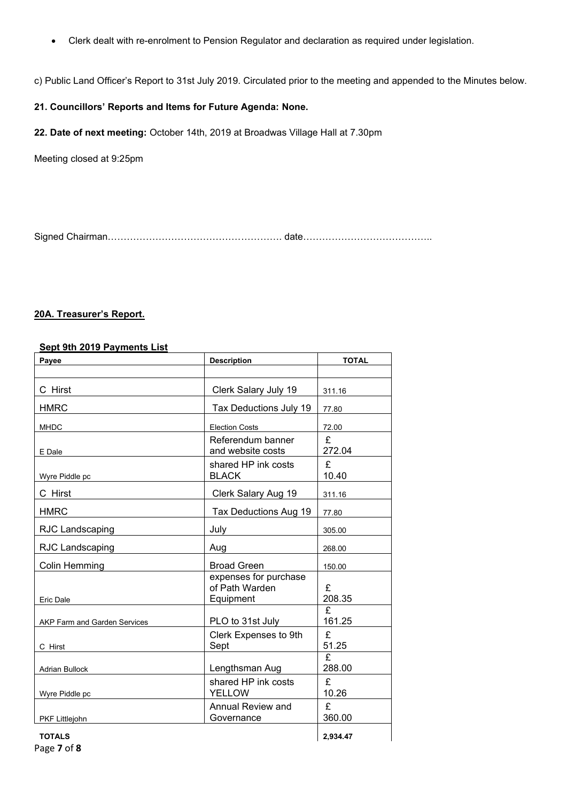• Clerk dealt with re-enrolment to Pension Regulator and declaration as required under legislation.

c) Public Land Officer's Report to 31st July 2019. Circulated prior to the meeting and appended to the Minutes below.

### **21. Councillors' Reports and Items for Future Agenda: None.**

**22. Date of next meeting:** October 14th, 2019 at Broadwas Village Hall at 7.30pm

Meeting closed at 9:25pm

Signed Chairman………………………………………………. date…………………………………..

#### **20A. Treasurer's Report.**

#### **Sept 9th 2019 Payments List**

| Payee                               | <b>Description</b>                                   | <b>TOTAL</b> |  |
|-------------------------------------|------------------------------------------------------|--------------|--|
|                                     |                                                      |              |  |
| C Hirst                             | Clerk Salary July 19                                 | 311.16       |  |
| <b>HMRC</b>                         | Tax Deductions July 19                               | 77.80        |  |
| <b>MHDC</b>                         | <b>Election Costs</b>                                | 72.00        |  |
| E Dale                              | Referendum banner<br>and website costs               | £<br>272.04  |  |
| Wyre Piddle pc                      | shared HP ink costs<br><b>BLACK</b>                  | £<br>10.40   |  |
| C Hirst                             | Clerk Salary Aug 19                                  | 311.16       |  |
| <b>HMRC</b>                         | Tax Deductions Aug 19                                | 77.80        |  |
| <b>RJC Landscaping</b>              | July                                                 | 305.00       |  |
| RJC Landscaping                     | Aug                                                  | 268.00       |  |
| Colin Hemming                       | <b>Broad Green</b>                                   | 150.00       |  |
| Eric Dale                           | expenses for purchase<br>of Path Warden<br>Equipment | £<br>208.35  |  |
| <b>AKP Farm and Garden Services</b> | PLO to 31st July                                     | £<br>161.25  |  |
| C Hirst                             | Clerk Expenses to 9th<br>Sept                        | £<br>51.25   |  |
| <b>Adrian Bullock</b>               | Lengthsman Aug                                       | £<br>288.00  |  |
| Wyre Piddle pc                      | shared HP ink costs<br><b>YELLOW</b>                 | £<br>10.26   |  |
| PKF Littlejohn                      | Annual Review and<br>Governance                      | £<br>360.00  |  |
| <b>TOTALS</b>                       |                                                      | 2.934.47     |  |